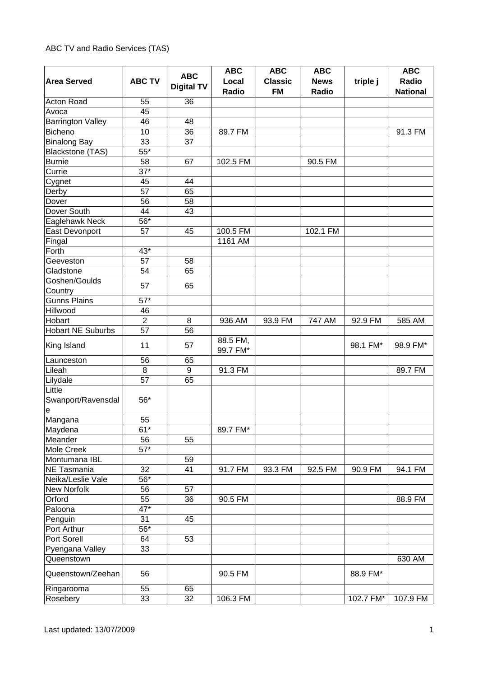## ABC TV and Radio Services (TAS)

| <b>Area Served</b>                        | <b>ABC TV</b>     | <b>ABC</b><br><b>Digital TV</b> | <b>ABC</b><br>Local<br>Radio | <b>ABC</b><br><b>Classic</b><br><b>FM</b> | <b>ABC</b><br><b>News</b><br>Radio | triple j  | <b>ABC</b><br>Radio<br><b>National</b> |
|-------------------------------------------|-------------------|---------------------------------|------------------------------|-------------------------------------------|------------------------------------|-----------|----------------------------------------|
| Acton Road                                | 55                | 36                              |                              |                                           |                                    |           |                                        |
| Avoca                                     | 45                |                                 |                              |                                           |                                    |           |                                        |
| <b>Barrington Valley</b>                  | 46                | 48                              |                              |                                           |                                    |           |                                        |
| <b>Bicheno</b>                            | 10                | 36                              | 89.7 FM                      |                                           |                                    |           | 91.3 FM                                |
| <b>Binalong Bay</b>                       | 33                | 37                              |                              |                                           |                                    |           |                                        |
| Blackstone (TAS)                          | $\overline{55^*}$ |                                 |                              |                                           |                                    |           |                                        |
| <b>Burnie</b>                             | 58                | 67                              | 102.5 FM                     |                                           | 90.5 FM                            |           |                                        |
| Currie                                    | $37*$             |                                 |                              |                                           |                                    |           |                                        |
| Cygnet                                    | 45                | 44                              |                              |                                           |                                    |           |                                        |
| Derby                                     | 57                | 65                              |                              |                                           |                                    |           |                                        |
| Dover                                     | 56                | 58                              |                              |                                           |                                    |           |                                        |
| Dover South                               | 44                | 43                              |                              |                                           |                                    |           |                                        |
| Eaglehawk Neck                            | 56*               |                                 |                              |                                           |                                    |           |                                        |
| East Devonport                            | 57                | 45                              | 100.5 FM                     |                                           | 102.1 FM                           |           |                                        |
| Fingal                                    |                   |                                 | 1161 AM                      |                                           |                                    |           |                                        |
| Forth                                     | 43*               |                                 |                              |                                           |                                    |           |                                        |
| Geeveston                                 | 57                | 58                              |                              |                                           |                                    |           |                                        |
| Gladstone                                 | 54                | 65                              |                              |                                           |                                    |           |                                        |
| Goshen/Goulds                             |                   |                                 |                              |                                           |                                    |           |                                        |
| Country                                   | 57                | 65                              |                              |                                           |                                    |           |                                        |
| <b>Gunns Plains</b>                       | $57*$             |                                 |                              |                                           |                                    |           |                                        |
| Hillwood                                  | 46                |                                 |                              |                                           |                                    |           |                                        |
| Hobart                                    | $\overline{2}$    | 8                               | 936 AM                       | 93.9 FM                                   | 747 AM                             | 92.9 FM   | 585 AM                                 |
| <b>Hobart NE Suburbs</b>                  | 57                | 56                              |                              |                                           |                                    |           |                                        |
| King Island                               | 11                | 57                              | 88.5 FM,<br>99.7 FM*         |                                           |                                    | 98.1 FM*  | 98.9 FM*                               |
| Launceston                                | 56                | 65                              |                              |                                           |                                    |           |                                        |
| Lileah                                    | $\,8\,$           | $\boldsymbol{9}$                | 91.3 FM                      |                                           |                                    |           | 89.7 FM                                |
| Lilydale                                  | 57                | 65                              |                              |                                           |                                    |           |                                        |
| Little<br>Swanport/Ravensdal<br>${\bf e}$ | $56*$             |                                 |                              |                                           |                                    |           |                                        |
| Mangana                                   | 55                |                                 |                              |                                           |                                    |           |                                        |
| Maydena                                   | $61*$             |                                 | 89.7 FM*                     |                                           |                                    |           |                                        |
| Meander                                   | 56                | 55                              |                              |                                           |                                    |           |                                        |
| Mole Creek                                | $\overline{57}^*$ |                                 |                              |                                           |                                    |           |                                        |
| Montumana IBL                             |                   | 59                              |                              |                                           |                                    |           |                                        |
| NE Tasmania                               | 32                | 41                              | 91.7 FM                      | 93.3 FM                                   | 92.5 FM                            | 90.9 FM   | 94.1 FM                                |
| Neika/Leslie Vale                         | 56*               |                                 |                              |                                           |                                    |           |                                        |
| New Norfolk                               | 56                | 57                              |                              |                                           |                                    |           |                                        |
| Orford                                    | 55                | 36                              | 90.5 FM                      |                                           |                                    |           | 88.9 FM                                |
| Paloona                                   | $47^{*}$          |                                 |                              |                                           |                                    |           |                                        |
| Penguin                                   | 31                | 45                              |                              |                                           |                                    |           |                                        |
| Port Arthur                               | 56*               |                                 |                              |                                           |                                    |           |                                        |
| Port Sorell                               | 64                | 53                              |                              |                                           |                                    |           |                                        |
| Pyengana Valley                           | 33                |                                 |                              |                                           |                                    |           |                                        |
| Queenstown                                |                   |                                 |                              |                                           |                                    |           | 630 AM                                 |
| Queenstown/Zeehan                         | 56                |                                 | 90.5 FM                      |                                           |                                    | 88.9 FM*  |                                        |
| Ringarooma                                | 55                | 65                              |                              |                                           |                                    |           |                                        |
| Rosebery                                  | 33                | 32                              | 106.3 FM                     |                                           |                                    | 102.7 FM* | 107.9 FM                               |